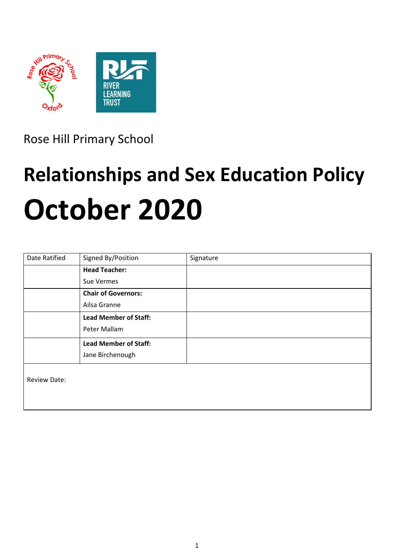

Rose Hill Primary School

# **Relationships and Sex Education Policy October 2020**

| <b>Date Ratified</b> | Signed By/Position           | Signature |
|----------------------|------------------------------|-----------|
|                      | <b>Head Teacher:</b>         |           |
|                      | Sue Vermes                   |           |
|                      | <b>Chair of Governors:</b>   |           |
|                      | Ailsa Granne                 |           |
|                      | <b>Lead Member of Staff:</b> |           |
|                      | Peter Mallam                 |           |
|                      | <b>Lead Member of Staff:</b> |           |
|                      | Jane Birchenough             |           |
| <b>Review Date:</b>  |                              |           |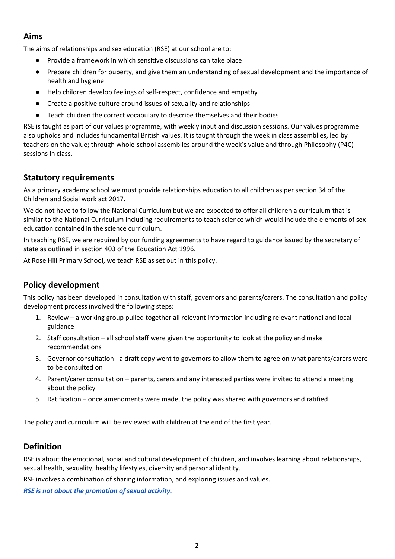## **Aims**

The aims of relationships and sex education (RSE) at our school are to:

- Provide a framework in which sensitive discussions can take place
- Prepare children for puberty, and give them an understanding of sexual development and the importance of health and hygiene
- Help children develop feelings of self-respect, confidence and empathy
- Create a positive culture around issues of sexuality and relationships
- Teach children the correct vocabulary to describe themselves and their bodies

RSE is taught as part of our values programme, with weekly input and discussion sessions. Our values programme also upholds and includes fundamental British values. It is taught through the week in class assemblies, led by teachers on the value; through whole-school assemblies around the week's value and through Philosophy (P4C) sessions in class.

# **Statutory requirements**

As a primary academy school we must provide relationships education to all children as per section 34 of the Children and Social work act 2017.

We do not have to follow the National Curriculum but we are expected to offer all children a curriculum that is similar to the National Curriculum including requirements to teach science which would include the elements of sex education contained in the science curriculum.

In teaching RSE, we are required by our funding agreements to have regard to guidance issued by the secretary of state as outlined in section 403 of the Education Act 1996.

At Rose Hill Primary School, we teach RSE as set out in this policy.

# **Policy development**

This policy has been developed in consultation with staff, governors and parents/carers. The consultation and policy development process involved the following steps:

- 1. Review a working group pulled together all relevant information including relevant national and local guidance
- 2. Staff consultation all school staff were given the opportunity to look at the policy and make recommendations
- 3. Governor consultation a draft copy went to governors to allow them to agree on what parents/carers were to be consulted on
- 4. Parent/carer consultation parents, carers and any interested parties were invited to attend a meeting about the policy
- 5. Ratification once amendments were made, the policy was shared with governors and ratified

The policy and curriculum will be reviewed with children at the end of the first year.

# **Definition**

RSE is about the emotional, social and cultural development of children, and involves learning about relationships, sexual health, sexuality, healthy lifestyles, diversity and personal identity.

RSE involves a combination of sharing information, and exploring issues and values.

*RSE is not about the promotion of sexual activity.*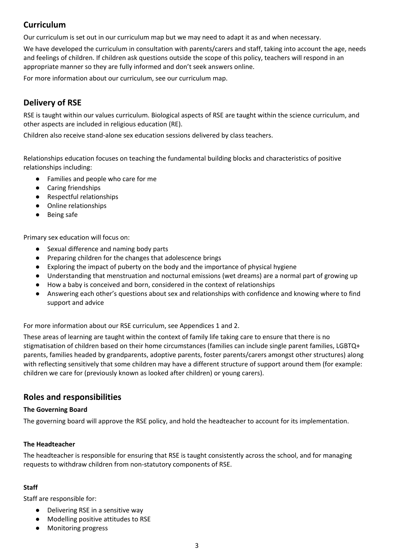# **Curriculum**

Our curriculum is set out in our curriculum map but we may need to adapt it as and when necessary.

We have developed the curriculum in consultation with parents/carers and staff, taking into account the age, needs and feelings of children. If children ask questions outside the scope of this policy, teachers will respond in an appropriate manner so they are fully informed and don't seek answers online.

For more information about our curriculum, see our curriculum map.

# **Delivery of RSE**

RSE is taught within our values curriculum. Biological aspects of RSE are taught within the science curriculum, and other aspects are included in religious education (RE).

Children also receive stand-alone sex education sessions delivered by class teachers.

Relationships education focuses on teaching the fundamental building blocks and characteristics of positive relationships including:

- Families and people who care for me
- Caring friendships
- Respectful relationships
- Online relationships
- Being safe

Primary sex education will focus on:

- Sexual difference and naming body parts
- Preparing children for the changes that adolescence brings
- Exploring the impact of puberty on the body and the importance of physical hygiene
- Understanding that menstruation and nocturnal emissions (wet dreams) are a normal part of growing up
- How a baby is conceived and born, considered in the context of relationships
- Answering each other's questions about sex and relationships with confidence and knowing where to find support and advice

For more information about our RSE curriculum, see Appendices 1 and 2.

These areas of learning are taught within the context of family life taking care to ensure that there is no stigmatisation of children based on their home circumstances (families can include single parent families, LGBTQ+ parents, families headed by grandparents, adoptive parents, foster parents/carers amongst other structures) along with reflecting sensitively that some children may have a different structure of support around them (for example: children we care for (previously known as looked after children) or young carers).

# **Roles and responsibilities**

#### **The Governing Board**

The governing board will approve the RSE policy, and hold the headteacher to account for its implementation.

#### **The Headteacher**

The headteacher is responsible for ensuring that RSE is taught consistently across the school, and for managing requests to withdraw children from non-statutory components of RSE.

#### **Staff**

Staff are responsible for:

- Delivering RSE in a sensitive way
- Modelling positive attitudes to RSE
- Monitoring progress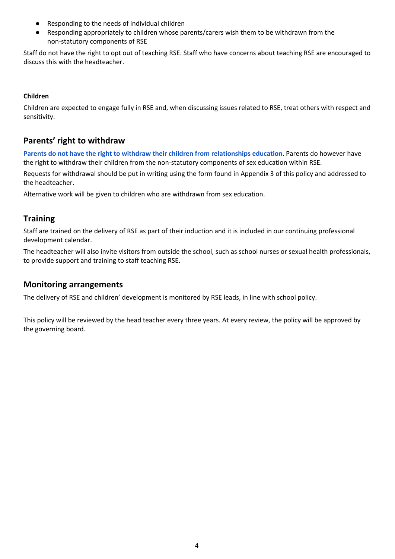- Responding to the needs of individual children
- Responding appropriately to children whose parents/carers wish them to be withdrawn from the non-statutory components of RSE

Staff do not have the right to opt out of teaching RSE. Staff who have concerns about teaching RSE are encouraged to discuss this with the headteacher.

#### **Children**

Children are expected to engage fully in RSE and, when discussing issues related to RSE, treat others with respect and sensitivity.

# **Parents' right to withdraw**

**Parents do not have the right to withdraw their children from relationships education**. Parents do however have the right to withdraw their children from the non-statutory components of sex education within RSE.

Requests for withdrawal should be put in writing using the form found in Appendix 3 of this policy and addressed to the headteacher.

Alternative work will be given to children who are withdrawn from sex education.

## **Training**

Staff are trained on the delivery of RSE as part of their induction and it is included in our continuing professional development calendar.

The headteacher will also invite visitors from outside the school, such as school nurses or sexual health professionals, to provide support and training to staff teaching RSE.

#### **Monitoring arrangements**

The delivery of RSE and children' development is monitored by RSE leads, in line with school policy.

This policy will be reviewed by the head teacher every three years. At every review, the policy will be approved by the governing board.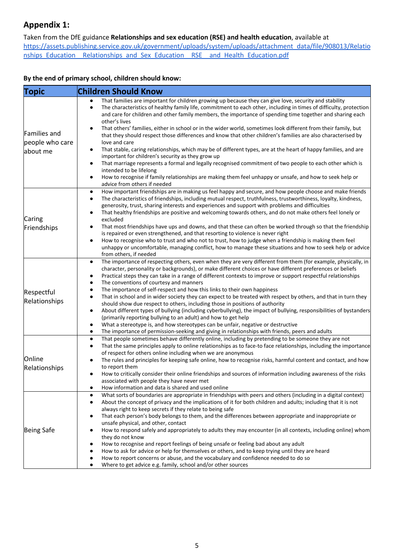# **Appendix 1:**

Taken from the DfE guidance **Relationships and sex education (RSE) and health education**, available at

[https://assets.publishing.service.gov.uk/government/uploads/system/uploads/attachment\\_data/file/908013/Relatio](https://assets.publishing.service.gov.uk/government/uploads/system/uploads/attachment_data/file/908013/Relationships_Education__Relationships_and_Sex_Education__RSE__and_Health_Education.pdf) nships\_Education \_\_ Relationships\_and\_Sex\_Education\_\_RSE\_\_and\_Health\_Education.pdf

#### **By the end of primary school, children should know:**

| Topic                                              | <b>Children Should Know</b>                                                                                                                                                                                                                                                                                                                                                                                                                                                                                                                                                                                                                                                                                                                                                                                                                                                                                                                                                                                                                                                                                          |  |
|----------------------------------------------------|----------------------------------------------------------------------------------------------------------------------------------------------------------------------------------------------------------------------------------------------------------------------------------------------------------------------------------------------------------------------------------------------------------------------------------------------------------------------------------------------------------------------------------------------------------------------------------------------------------------------------------------------------------------------------------------------------------------------------------------------------------------------------------------------------------------------------------------------------------------------------------------------------------------------------------------------------------------------------------------------------------------------------------------------------------------------------------------------------------------------|--|
| <b>Families and</b><br>people who care<br>about me | That families are important for children growing up because they can give love, security and stability<br>The characteristics of healthy family life, commitment to each other, including in times of difficulty, protection<br>$\bullet$<br>and care for children and other family members, the importance of spending time together and sharing each<br>other's lives<br>That others' families, either in school or in the wider world, sometimes look different from their family, but<br>that they should respect those differences and know that other children's families are also characterised by<br>love and care<br>That stable, caring relationships, which may be of different types, are at the heart of happy families, and are<br>$\bullet$<br>important for children's security as they grow up<br>That marriage represents a formal and legally recognised commitment of two people to each other which is<br>٠<br>intended to be lifelong<br>How to recognise if family relationships are making them feel unhappy or unsafe, and how to seek help or<br>$\bullet$<br>advice from others if needed |  |
| Caring<br>Friendships                              | How important friendships are in making us feel happy and secure, and how people choose and make friends<br>$\bullet$<br>The characteristics of friendships, including mutual respect, truthfulness, trustworthiness, loyalty, kindness,<br>٠<br>generosity, trust, sharing interests and experiences and support with problems and difficulties<br>That healthy friendships are positive and welcoming towards others, and do not make others feel lonely or<br>excluded<br>That most friendships have ups and downs, and that these can often be worked through so that the friendship<br>is repaired or even strengthened, and that resorting to violence is never right<br>How to recognise who to trust and who not to trust, how to judge when a friendship is making them feel<br>unhappy or uncomfortable, managing conflict, how to manage these situations and how to seek help or advice<br>from others, if needed                                                                                                                                                                                        |  |
| Respectful<br>Relationships                        | The importance of respecting others, even when they are very different from them (for example, physically, in<br>$\bullet$<br>character, personality or backgrounds), or make different choices or have different preferences or beliefs<br>Practical steps they can take in a range of different contexts to improve or support respectful relationships<br>٠<br>The conventions of courtesy and manners<br>The importance of self-respect and how this links to their own happiness<br>٠<br>That in school and in wider society they can expect to be treated with respect by others, and that in turn they<br>$\bullet$<br>should show due respect to others, including those in positions of authority<br>About different types of bullying (including cyberbullying), the impact of bullying, responsibilities of bystanders<br>٠<br>(primarily reporting bullying to an adult) and how to get help<br>What a stereotype is, and how stereotypes can be unfair, negative or destructive<br>The importance of permission-seeking and giving in relationships with friends, peers and adults<br>٠                 |  |
| Online<br>Relationships                            | That people sometimes behave differently online, including by pretending to be someone they are not<br>٠<br>That the same principles apply to online relationships as to face-to face relationships, including the importance<br>٠<br>of respect for others online including when we are anonymous<br>The rules and principles for keeping safe online, how to recognise risks, harmful content and contact, and how<br>to report them<br>How to critically consider their online friendships and sources of information including awareness of the risks<br>associated with people they have never met<br>How information and data is shared and used online                                                                                                                                                                                                                                                                                                                                                                                                                                                        |  |
| <b>Being Safe</b>                                  | What sorts of boundaries are appropriate in friendships with peers and others (including in a digital context)<br>٠<br>About the concept of privacy and the implications of it for both children and adults; including that it is not<br>always right to keep secrets if they relate to being safe<br>That each person's body belongs to them, and the differences between appropriate and inappropriate or<br>unsafe physical, and other, contact<br>How to respond safely and appropriately to adults they may encounter (in all contexts, including online) whom<br>they do not know<br>How to recognise and report feelings of being unsafe or feeling bad about any adult<br>How to ask for advice or help for themselves or others, and to keep trying until they are heard<br>How to report concerns or abuse, and the vocabulary and confidence needed to do so<br>Where to get advice e.g. family, school and/or other sources<br>٠                                                                                                                                                                         |  |